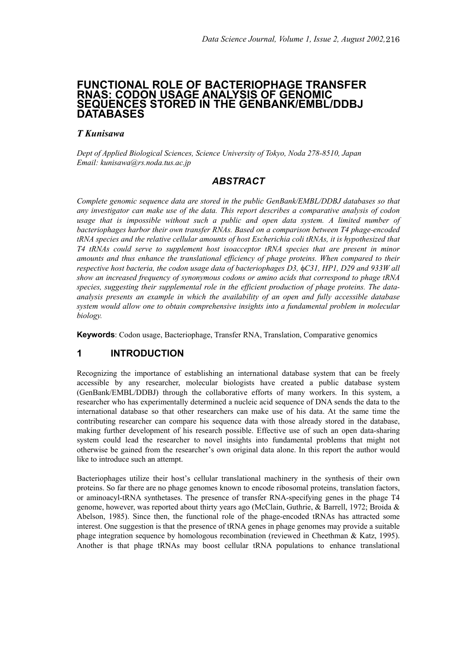## **FUNCTIONAL ROLE OF BACTERIOPHAGE TRANSFER RNAS: CODON USAGE ANALYSIS OF GENOMIC SEQUENCES STORED IN THE GENBANK/EMBL/DDBJ DATABASES**

## *T Kunisawa*

*Dept of Applied Biological Sciences, Science University of Tokyo, Noda 278-8510, Japan Email: kunisawa@rs.noda.tus.ac.jp*

# *ABSTRACT*

*Complete genomic sequence data are stored in the public GenBank/EMBL/DDBJ databases so that any investigator can make use of the data. This report describes a comparative analysis of codon usage that is impossible without such a public and open data system. A limited number of bacteriophages harbor their own transfer RNAs. Based on a comparison between T4 phage-encoded tRNA species and the relative cellular amounts of host Escherichia coli tRNAs, it is hypothesized that T4 tRNAs could serve to supplement host isoacceptor tRNA species that are present in minor amounts and thus enhance the translational efficiency of phage proteins. When compared to their respective host bacteria, the codon usage data of bacteriophages D3,*  $\phi$ *C31, HP1, D29 and 933W all show an increased frequency of synonymous codons or amino acids that correspond to phage tRNA species, suggesting their supplemental role in the efficient production of phage proteins. The dataanalysis presents an example in which the availability of an open and fully accessible database system would allow one to obtain comprehensive insights into a fundamental problem in molecular biology.*

**Keywords**: Codon usage, Bacteriophage, Transfer RNA, Translation, Comparative genomics

# **1 INTRODUCTION**

Recognizing the importance of establishing an international database system that can be freely accessible by any researcher, molecular biologists have created a public database system (GenBank/EMBL/DDBJ) through the collaborative efforts of many workers. In this system, a researcher who has experimentally determined a nucleic acid sequence of DNA sends the data to the international database so that other researchers can make use of his data. At the same time the contributing researcher can compare his sequence data with those already stored in the database, making further development of his research possible. Effective use of such an open data-sharing system could lead the researcher to novel insights into fundamental problems that might not otherwise be gained from the researcher's own original data alone. In this report the author would like to introduce such an attempt.

Bacteriophages utilize their host's cellular translational machinery in the synthesis of their own proteins. So far there are no phage genomes known to encode ribosomal proteins, translation factors, or aminoacyl-tRNA synthetases. The presence of transfer RNA-specifying genes in the phage T4 genome, however, was reported about thirty years ago (McClain, Guthrie, & Barrell, 1972; Broida & Abelson, 1985). Since then, the functional role of the phage-encoded tRNAs has attracted some interest. One suggestion is that the presence of tRNA genes in phage genomes may provide a suitable phage integration sequence by homologous recombination (reviewed in Cheethman & Katz, 1995). Another is that phage tRNAs may boost cellular tRNA populations to enhance translational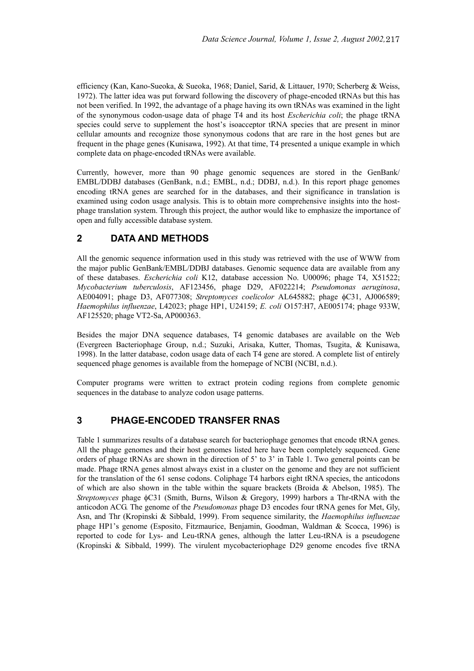efficiency (Kan, Kano-Sueoka, & Sueoka, 1968; Daniel, Sarid, & Littauer, 1970; Scherberg & Weiss, 1972). The latter idea was put forward following the discovery of phage-encoded tRNAs but this has not been verified. In 1992, the advantage of a phage having its own tRNAs was examined in the light of the synonymous codon-usage data of phage T4 and its host *Escherichia coli*; the phage tRNA species could serve to supplement the host's isoacceptor tRNA species that are present in minor cellular amounts and recognize those synonymous codons that are rare in the host genes but are frequent in the phage genes (Kunisawa, 1992). At that time, T4 presented a unique example in which complete data on phage-encoded tRNAs were available.

Currently, however, more than 90 phage genomic sequences are stored in the GenBank/ EMBL/DDBJ databases (GenBank, n.d.; EMBL, n.d.; DDBJ, n.d.). In this report phage genomes encoding tRNA genes are searched for in the databases, and their significance in translation is examined using codon usage analysis. This is to obtain more comprehensive insights into the hostphage translation system. Through this project, the author would like to emphasize the importance of open and fully accessible database system.

# **2 DATA AND METHODS**

All the genomic sequence information used in this study was retrieved with the use of WWW from the major public GenBank/EMBL/DDBJ databases. Genomic sequence data are available from any of these databases. *Escherichia coli* K12, database accession No. U00096; phage T4, X51522; *Mycobacterium tuberculosis*, AF123456, phage D29, AF022214; *Pseudomonas aeruginosa*, AE004091; phage D3, AF077308; *Streptomyces coelicolor* AL645882; phage φC31, AJ006589; *Haemophilus influenzae*, L42023; phage HP1, U24159; *E. coli* O157:H7, AE005174; phage 933W, AF125520; phage VT2-Sa, AP000363.

Besides the major DNA sequence databases, T4 genomic databases are available on the Web (Evergreen Bacteriophage Group, n.d.; Suzuki, Arisaka, Kutter, Thomas, Tsugita, & Kunisawa, 1998). In the latter database, codon usage data of each T4 gene are stored. A complete list of entirely sequenced phage genomes is available from the homepage of NCBI (NCBI, n.d.).

Computer programs were written to extract protein coding regions from complete genomic sequences in the database to analyze codon usage patterns.

# **3 PHAGE-ENCODED TRANSFER RNAS**

Table 1 summarizes results of a database search for bacteriophage genomes that encode tRNA genes. All the phage genomes and their host genomes listed here have been completely sequenced. Gene orders of phage tRNAs are shown in the direction of 5' to 3' in Table 1. Two general points can be made. Phage tRNA genes almost always exist in a cluster on the genome and they are not sufficient for the translation of the 61 sense codons. Coliphage T4 harbors eight tRNA species, the anticodons of which are also shown in the table within the square brackets (Broida & Abelson, 1985). The *Streptomyces* phage φC31 (Smith, Burns, Wilson & Gregory, 1999) harbors a Thr-tRNA with the anticodon ACG. The genome of the *Pseudomonas* phage D3 encodes four tRNA genes for Met, Gly, Asn, and Thr (Kropinski & Sibbald, 1999). From sequence similarity, the *Haemophilus influenzae* phage HP1's genome (Esposito, Fitzmaurice, Benjamin, Goodman, Waldman & Scocca, 1996) is reported to code for Lys- and Leu-tRNA genes, although the latter Leu-tRNA is a pseudogene (Kropinski & Sibbald, 1999). The virulent mycobacteriophage D29 genome encodes five tRNA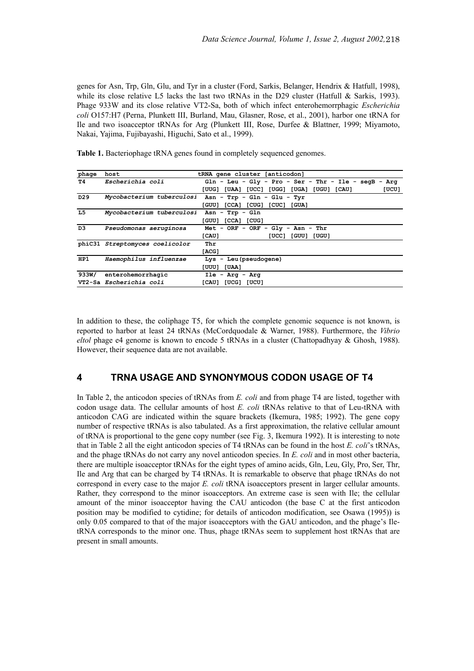genes for Asn, Trp, Gln, Glu, and Tyr in a cluster (Ford, Sarkis, Belanger, Hendrix & Hatfull, 1998), while its close relative L5 lacks the last two tRNAs in the D29 cluster (Hatfull & Sarkis, 1993). Phage 933W and its close relative VT2-Sa, both of which infect enterohemorrphagic *Escherichia coli* O157:H7 (Perna, Plunkett III, Burland, Mau, Glasner, Rose, et al., 2001), harbor one tRNA for Ile and two isoacceptor tRNAs for Arg (Plunkett III, Rose, Durfee & Blattner, 1999; Miyamoto, Nakai, Yajima, Fujibayashi, Higuchi, Sato et al., 1999).

| phage           | host                                      | tRNA gene cluster [anticodon]                             |
|-----------------|-------------------------------------------|-----------------------------------------------------------|
| т4              | <i>Escherichia coli</i>                   | $Gln - Leu - Gly - Pro - Ser - Thr - Ile - seqB -$<br>Arq |
|                 |                                           | [UUG] [UAA] [UCC] [UGG] [UGA] [UGU] [CAU]<br>[UCU]        |
| D <sub>29</sub> |                                           | Mycobacterium tuberculosi Asn - Trp - Gln - Glu - Tyr     |
|                 |                                           | [CCA] [CUG] [CUC] [GUA]<br>[GUU]                          |
| L5              | Mycobacterium tuberculosi Asn - Trp - Gln |                                                           |
|                 |                                           | $[CCA]$ $[CUG]$<br>[GUU]                                  |
| D3              | Pseudomonas aeruginosa                    | Met - ORF - ORF - Gly - Asn - Thr                         |
|                 |                                           | [CAU]<br>$[UCC]$ $[GUU]$ $[UGU]$                          |
|                 | phiC31 Streptomyces coelicolor            | Thr                                                       |
|                 |                                           | [ACG]                                                     |
| HP1             | Haemophilus influenzae                    | $Lys - Leu(pseudogene)$                                   |
|                 |                                           | [UUU] [UAA]                                               |
| 933W/           | enterohemorrhagic                         | $Ile - Arq - Arq$                                         |
|                 | VT2-Sa Escherichia coli                   | [CAU]<br><b>TUCGI TUCUI</b>                               |

Table 1. Bacteriophage tRNA genes found in completely sequenced genomes.

In addition to these, the coliphage T5, for which the complete genomic sequence is not known, is reported to harbor at least 24 tRNAs (McCordquodale & Warner, 1988). Furthermore, the *Vibrio eltol* phage e4 genome is known to encode 5 tRNAs in a cluster (Chattopadhyay & Ghosh, 1988). However, their sequence data are not available.

## **4 TRNA USAGE AND SYNONYMOUS CODON USAGE OF T4**

In Table 2, the anticodon species of tRNAs from *E. coli* and from phage T4 are listed, together with codon usage data. The cellular amounts of host *E. coli* tRNAs relative to that of Leu-tRNA with anticodon CAG are indicated within the square brackets (Ikemura, 1985; 1992). The gene copy number of respective tRNAs is also tabulated. As a first approximation, the relative cellular amount of tRNA is proportional to the gene copy number (see Fig. 3, Ikemura 1992). It is interesting to note that in Table 2 all the eight anticodon species of T4 tRNAs can be found in the host *E. coli*'s tRNAs, and the phage tRNAs do not carry any novel anticodon species. In *E. coli* and in most other bacteria, there are multiple isoacceptor tRNAs for the eight types of amino acids, Gln, Leu, Gly, Pro, Ser, Thr, Ile and Arg that can be charged by T4 tRNAs. It is remarkable to observe that phage tRNAs do not correspond in every case to the major *E. coli* tRNA isoacceptors present in larger cellular amounts. Rather, they correspond to the minor isoacceptors. An extreme case is seen with Ile; the cellular amount of the minor isoacceptor having the CAU anticodon (the base C at the first anticodon position may be modified to cytidine; for details of anticodon modification, see Osawa (1995)) is only 0.05 compared to that of the major isoacceptors with the GAU anticodon, and the phage's IletRNA corresponds to the minor one. Thus, phage tRNAs seem to supplement host tRNAs that are present in small amounts.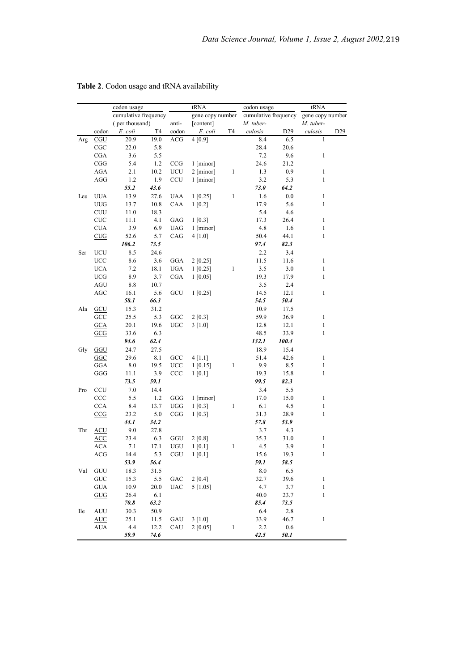| cumulative frequency<br>cumulative frequency<br>gene copy number<br>(per thousand)<br>anti-<br>M. tuber-<br>[content]<br>M. tuber-<br>codon<br>E. coli<br>T4<br>E. coli<br>T4<br>culosis<br>D <sub>29</sub><br>culosis<br>codon<br>19.0<br>4[0.9]<br>CGU<br>20.9<br>ACG<br>$8.4\,$<br>6.5<br>Arg<br>22.0<br>5.8<br>28.4<br>20.6<br>CGC<br>3.6<br>7.2<br><b>CGA</b><br>5.5<br>9.6<br>5.4<br>CGG<br>1.2<br>CCG<br>1 [minor]<br>24.6<br>21.2<br>$\,1\,$<br>1.3<br>0.9<br>AGA<br>2.1<br>10.2<br>UCU<br>$2$ [minor]<br>AGG<br>CCU<br>3.2<br>1.2<br>1.9<br>1 [minor]<br>5.3<br>55.2<br>43.6<br>73.0<br>64.2 | gene copy number<br>D <sub>29</sub><br>$\mathbf{1}$ |
|-------------------------------------------------------------------------------------------------------------------------------------------------------------------------------------------------------------------------------------------------------------------------------------------------------------------------------------------------------------------------------------------------------------------------------------------------------------------------------------------------------------------------------------------------------------------------------------------------------|-----------------------------------------------------|
|                                                                                                                                                                                                                                                                                                                                                                                                                                                                                                                                                                                                       |                                                     |
|                                                                                                                                                                                                                                                                                                                                                                                                                                                                                                                                                                                                       |                                                     |
|                                                                                                                                                                                                                                                                                                                                                                                                                                                                                                                                                                                                       |                                                     |
|                                                                                                                                                                                                                                                                                                                                                                                                                                                                                                                                                                                                       |                                                     |
|                                                                                                                                                                                                                                                                                                                                                                                                                                                                                                                                                                                                       |                                                     |
|                                                                                                                                                                                                                                                                                                                                                                                                                                                                                                                                                                                                       | $\mathbf{1}$                                        |
|                                                                                                                                                                                                                                                                                                                                                                                                                                                                                                                                                                                                       |                                                     |
|                                                                                                                                                                                                                                                                                                                                                                                                                                                                                                                                                                                                       | $\mathbf{1}$                                        |
|                                                                                                                                                                                                                                                                                                                                                                                                                                                                                                                                                                                                       | $\,1$                                               |
|                                                                                                                                                                                                                                                                                                                                                                                                                                                                                                                                                                                                       |                                                     |
| 13.9<br>1[0.25]<br>$\mathbf{1}$<br><b>UUA</b><br>27.6<br><b>UAA</b><br>1.6<br>0.0<br>Leu                                                                                                                                                                                                                                                                                                                                                                                                                                                                                                              | $\,1$                                               |
| ${\rm UUG}$<br>13.7<br>10.8<br>CAA<br>1[0.2]<br>17.9<br>5.6                                                                                                                                                                                                                                                                                                                                                                                                                                                                                                                                           | $\mathbf{1}$                                        |
| <b>CUU</b><br>11.0<br>18.3<br>5.4<br>4.6                                                                                                                                                                                                                                                                                                                                                                                                                                                                                                                                                              |                                                     |
| CUC<br>11.1<br>4.1<br>17.3<br>GAG<br>1 [0.3]<br>26.4                                                                                                                                                                                                                                                                                                                                                                                                                                                                                                                                                  | $\mathbf{1}$                                        |
| $\rm CUA$<br>3.9<br>$_{\mathrm{UAG}}$<br>4.8<br>1.6<br>6.9<br>$1$ [minor]                                                                                                                                                                                                                                                                                                                                                                                                                                                                                                                             | $\mathbf{1}$                                        |
| CUG<br>52.6<br>5.7<br>CAG<br>4 [1.0]<br>50.4<br>44.1                                                                                                                                                                                                                                                                                                                                                                                                                                                                                                                                                  | $\mathbf{1}$                                        |
| 82.3<br>106.2<br>73.5<br>97.4                                                                                                                                                                                                                                                                                                                                                                                                                                                                                                                                                                         |                                                     |
| 8.5<br>2.2<br>3.4<br>UCU<br>24.6<br>Ser                                                                                                                                                                                                                                                                                                                                                                                                                                                                                                                                                               |                                                     |
| <b>UCC</b><br>8.6<br>3.6<br>GGA<br>2 [0.25]<br>11.5<br>11.6                                                                                                                                                                                                                                                                                                                                                                                                                                                                                                                                           | $\mathbf{1}$                                        |
| $_{\rm UGA}$<br>3.5<br><b>UCA</b><br>7.2<br>18.1<br>1 [0.25]<br>$\mathbf{1}$<br>3.0                                                                                                                                                                                                                                                                                                                                                                                                                                                                                                                   | $\mathbf{1}$                                        |
| 19.3<br>17.9<br><b>UCG</b><br>8.9<br>3.7<br><b>CGA</b><br>1 [0.05]                                                                                                                                                                                                                                                                                                                                                                                                                                                                                                                                    | $\mathbf{1}$                                        |
| 3.5<br>2.4<br>AGU<br>8.8<br>10.7                                                                                                                                                                                                                                                                                                                                                                                                                                                                                                                                                                      |                                                     |
| $\rm{AGC}$<br>16.1<br>5.6<br>GCU<br>1 [0.25]<br>14.5<br>12.1                                                                                                                                                                                                                                                                                                                                                                                                                                                                                                                                          | $\mathbf{1}$                                        |
| 58.1<br>66.3<br>54.5<br>50.4                                                                                                                                                                                                                                                                                                                                                                                                                                                                                                                                                                          |                                                     |
| Ala<br>GCU<br>15.3<br>31.2<br>10.9<br>17.5                                                                                                                                                                                                                                                                                                                                                                                                                                                                                                                                                            |                                                     |
| 25.5<br>36.9<br>GCC<br>5.3<br>GGC<br>2 [0.3]<br>59.9                                                                                                                                                                                                                                                                                                                                                                                                                                                                                                                                                  | $\mathbf{1}$                                        |
| 20.1<br>19.6<br>12.8<br>12.1<br><b>GCA</b><br><b>UGC</b><br>3[1.0]                                                                                                                                                                                                                                                                                                                                                                                                                                                                                                                                    | $\mathbf{1}$                                        |
| 33.9<br>33.6<br>6.3<br>48.5<br>GCG                                                                                                                                                                                                                                                                                                                                                                                                                                                                                                                                                                    | $\,1$                                               |
| 132.1<br>100.4<br>94.6<br>62.4                                                                                                                                                                                                                                                                                                                                                                                                                                                                                                                                                                        |                                                     |
| Gly<br>GGU<br>24.7<br>27.5<br>18.9<br>15.4                                                                                                                                                                                                                                                                                                                                                                                                                                                                                                                                                            |                                                     |
| GCC<br>51.4<br>42.6<br>GGC<br>29.6<br>8.1<br>4[1.1]                                                                                                                                                                                                                                                                                                                                                                                                                                                                                                                                                   | $\mathbf{1}$                                        |
| 1[0.15]<br>9.9<br>GGA<br>8.0<br>19.5<br><b>UCC</b><br>$\mathbf{1}$<br>8.5                                                                                                                                                                                                                                                                                                                                                                                                                                                                                                                             | $\mathbf{1}$                                        |
| 3.9<br>GGG<br>11.1<br>CCC<br>1 [0.1]<br>19.3<br>15.8                                                                                                                                                                                                                                                                                                                                                                                                                                                                                                                                                  | $\,1$                                               |
| 99.5<br>82.3<br>73.5<br>59.1                                                                                                                                                                                                                                                                                                                                                                                                                                                                                                                                                                          |                                                     |
| CCU<br>7.0<br>3.4<br>5.5<br>14.4<br>Pro                                                                                                                                                                                                                                                                                                                                                                                                                                                                                                                                                               |                                                     |
| 5.5<br>1 [minor]<br>CCC<br>1.2<br>GGG<br>17.0<br>15.0                                                                                                                                                                                                                                                                                                                                                                                                                                                                                                                                                 | $\mathbf{1}$                                        |
| $\,1\,$<br><b>CCA</b><br>8.4<br>13.7<br>UGG<br>1 [0.3]<br>6.1<br>4.5                                                                                                                                                                                                                                                                                                                                                                                                                                                                                                                                  | $\mathbf{1}$                                        |
| CCG<br>23.2<br>5.0<br>CGG<br>1 [0.3]<br>31.3<br>28.9                                                                                                                                                                                                                                                                                                                                                                                                                                                                                                                                                  | $\,1$                                               |
| 44.1<br>34.2<br>57.8<br>53.9                                                                                                                                                                                                                                                                                                                                                                                                                                                                                                                                                                          |                                                     |
| 9.0<br>3.7<br>Thr<br><b>ACU</b><br>27.8<br>4.3                                                                                                                                                                                                                                                                                                                                                                                                                                                                                                                                                        |                                                     |
| 23.4<br>35.3<br>31.0<br><b>ACC</b><br>6.3<br>GGU<br>2[0.8]                                                                                                                                                                                                                                                                                                                                                                                                                                                                                                                                            | $\mathbf{1}$                                        |
| 4.5<br>ACA<br>7.1<br>17.1<br>UGU<br>1 [0.1]<br>$\mathbf{1}$<br>3.9                                                                                                                                                                                                                                                                                                                                                                                                                                                                                                                                    | $\mathbf{1}$                                        |
| 5.3<br>ACG<br>14.4<br>CGU<br>1 [0.1]<br>15.6<br>19.3                                                                                                                                                                                                                                                                                                                                                                                                                                                                                                                                                  | $\mathbf{1}$                                        |
| 53.9<br>56.4<br>59.1<br>58.5                                                                                                                                                                                                                                                                                                                                                                                                                                                                                                                                                                          |                                                     |
| 6.5<br>Val<br>GUU<br>18.3<br>31.5<br>8.0                                                                                                                                                                                                                                                                                                                                                                                                                                                                                                                                                              |                                                     |
| $\ensuremath{\mathrm{GUC}}$<br>5.5<br>39.6<br>15.3<br>GAC<br>2 [0.4]<br>32.7                                                                                                                                                                                                                                                                                                                                                                                                                                                                                                                          | $\mathbf{1}$                                        |
| 4.7<br><b>GUA</b><br>10.9<br>20.0<br><b>UAC</b><br>5[1.05]<br>3.7                                                                                                                                                                                                                                                                                                                                                                                                                                                                                                                                     | 1                                                   |
| 6.1<br>GUG<br>26.4<br>40.0<br>23.7                                                                                                                                                                                                                                                                                                                                                                                                                                                                                                                                                                    | $\mathbf{1}$                                        |
| 70.8<br>63.2<br>85.4<br>73.5                                                                                                                                                                                                                                                                                                                                                                                                                                                                                                                                                                          |                                                     |
| 6.4<br>2.8<br><b>Ile</b><br><b>AUU</b><br>30.3<br>50.9                                                                                                                                                                                                                                                                                                                                                                                                                                                                                                                                                |                                                     |
| AUC<br>25.1<br>11.5<br>GAU<br>3 [1.0]<br>33.9<br>46.7                                                                                                                                                                                                                                                                                                                                                                                                                                                                                                                                                 | 1                                                   |
| 4.4<br><b>AUA</b><br>12.2<br>CAU<br>2 [0.05]<br>$\mathbf{1}$<br>2.2<br>0.6                                                                                                                                                                                                                                                                                                                                                                                                                                                                                                                            |                                                     |
| 59.9<br>74.6<br>50.1<br>42.5                                                                                                                                                                                                                                                                                                                                                                                                                                                                                                                                                                          |                                                     |

# **Table 2**. Codon usage and tRNA availability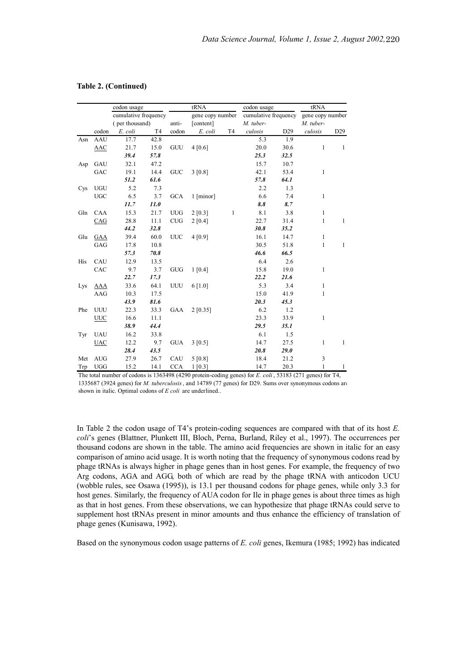|     | codon usage |                      |                | tRNA             |             |              | codon usage          |             | tRNA                          |                 |
|-----|-------------|----------------------|----------------|------------------|-------------|--------------|----------------------|-------------|-------------------------------|-----------------|
|     |             | cumulative frequency |                | gene copy number |             |              | cumulative frequency |             | gene copy number<br>M. tuber- |                 |
|     |             | (per thousand)       |                | anti-            | [content]   |              | M. tuber-            |             |                               |                 |
|     | codon       | E. coli              | T <sub>4</sub> | codon            | E. coli     | T4           | culosis              | D29         | culosis                       | D <sub>29</sub> |
| Asn | AAU         | 17.7                 | 42.8           |                  |             |              | 5.3                  | 1.9         |                               |                 |
|     | AAC         | 21.7                 | 15.0           | GUU              | 4 [0.6]     |              | 20.0                 | 30.6        | $\mathbf{1}$                  | $\mathbf{1}$    |
|     |             | 39.4                 | 57.8           |                  |             |              | 25.3                 | 32.5        |                               |                 |
| Asp | GAU         | 32.1                 | 47.2           |                  |             |              | 15.7                 | 10.7        |                               |                 |
|     | GAC         | 19.1                 | 14.4           | <b>GUC</b>       | 3 [0.8]     |              | 42.1                 | 53.4        | $\mathbf{1}$                  |                 |
|     |             | 51.2                 | 61.6           |                  |             |              | 57.8                 | 64.1        |                               |                 |
| Cys | <b>UGU</b>  | 5.2                  | 7.3            |                  |             |              | 2.2                  | 1.3         |                               |                 |
|     | <b>UGC</b>  | 6.5                  | 3.7            | GCA              | $1$ [minor] |              | 6.6                  | 7.4         | $\mathbf{1}$                  |                 |
|     |             | 11.7                 | 11.0           |                  |             |              | 8.8                  | 8.7         |                               |                 |
| Gln | <b>CAA</b>  | 15.3                 | 21.7           | <b>UUG</b>       | 2 [0.3]     | $\mathbf{1}$ | 8.1                  | 3.8         | $\mathbf{1}$                  |                 |
|     | CAG         | 28.8                 | 11.1           | <b>CUG</b>       | 2 [0.4]     |              | 22.7                 | 31.4        | 1                             | $\mathbf{1}$    |
|     |             | 44.2                 | 32.8           |                  |             |              | 30.8                 | 35.2        |                               |                 |
| Glu | GAA         | 39.4                 | 60.0           | <b>UUC</b>       | 4 [0.9]     |              | 16.1                 | 14.7        | 1                             |                 |
|     | GAG         | 17.8                 | 10.8           |                  |             |              | 30.5                 | 51.8        | $\mathbf{1}$                  | $\mathbf{1}$    |
|     |             | 57.3                 | 70.8           |                  |             |              | 46.6                 | 66.5        |                               |                 |
| His | CAU         | 12.9                 | 13.5           |                  |             |              | 6.4                  | 2.6         |                               |                 |
|     | CAC         | 9.7                  | 3.7            | <b>GUG</b>       | 1 [0.4]     |              | 15.8                 | 19.0        | 1                             |                 |
|     |             | 22.7                 | 17.3           |                  |             |              | 22.2                 | 21.6        |                               |                 |
| Lys | <b>AAA</b>  | 33.6                 | 64.1           | UUU              | $6$ [1.0]   |              | 5.3                  | 3.4         | $\mathbf{1}$                  |                 |
|     | AAG         | 10.3                 | 17.5           |                  |             |              | 15.0                 | 41.9        | $\mathbf{1}$                  |                 |
|     |             | 43.9                 | 81.6           |                  |             |              | 20.3                 | 45.3        |                               |                 |
| Phe | UUU         | 22.3                 | 33.3           | GAA              | 2 [0.35]    |              | 6.2                  | 1.2         |                               |                 |
|     | <b>UUC</b>  | 16.6                 | 11.1           |                  |             |              | 23.3                 | 33.9        | $\mathbf{1}$                  |                 |
|     |             | 38.9                 | 44.4           |                  |             |              | 29.5                 | 35.1        |                               |                 |
| Tyr | <b>UAU</b>  | 16.2                 | 33.8           |                  |             |              | 6.1                  | 1.5         |                               |                 |
|     | <b>UAC</b>  | 12.2                 | 9.7            | <b>GUA</b>       | 3 [0.5]     |              | 14.7                 | 27.5        | $\mathbf{1}$                  | $\mathbf{1}$    |
|     |             | 28.4                 | 43.5           |                  |             |              | 20.8                 | <b>29.0</b> |                               |                 |
| Met | <b>AUG</b>  | 27.9                 | 26.7           | CAU              | 5 [0.8]     |              | 18.4                 | 21.2        | 3                             |                 |
| Trp | <b>UGG</b>  | 15.2                 | 14.1           | <b>CCA</b>       | 1 [0.3]     |              | 14.7                 | 20.3        | $\mathbf{1}$                  | $\mathbf{1}$    |

#### **Table 2. (Continued)**

The total number of codons is 1363498 (4290 protein-coding genes) for *E. coli* , 53183 (271 genes) for T4, 1335687 (3924 genes) for *M. tuberculosis*, and 14789 (77 genes) for D29. Sums over synonymous codons are shown in italic. Optimal codons of *E coli* are underlined..

In Table 2 the codon usage of T4's protein-coding sequences are compared with that of its host *E. coli*'s genes (Blattner, Plunkett III, Bloch, Perna, Burland, Riley et al., 1997). The occurrences per thousand codons are shown in the table. The amino acid frequencies are shown in italic for an easy comparison of amino acid usage. It is worth noting that the frequency of synonymous codons read by phage tRNAs is always higher in phage genes than in host genes. For example, the frequency of two Arg codons, AGA and AGG, both of which are read by the phage tRNA with anticodon UCU (wobble rules, see Osawa (1995)), is 13.1 per thousand codons for phage genes, while only 3.3 for host genes. Similarly, the frequency of AUA codon for Ile in phage genes is about three times as high as that in host genes. From these observations, we can hypothesize that phage tRNAs could serve to supplement host tRNAs present in minor amounts and thus enhance the efficiency of translation of phage genes (Kunisawa, 1992).

Based on the synonymous codon usage patterns of *E. coli* genes, Ikemura (1985; 1992) has indicated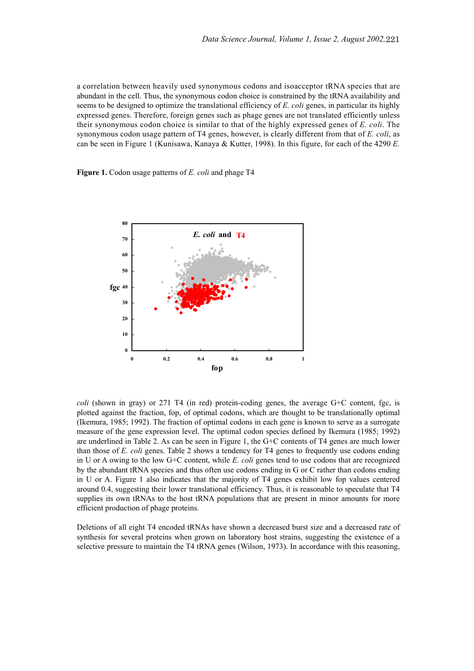a correlation between heavily used synonymous codons and isoacceptor tRNA species that are abundant in the cell. Thus, the synonymous codon choice is constrained by the tRNA availability and seems to be designed to optimize the translational efficiency of *E. coli* genes, in particular its highly expressed genes. Therefore, foreign genes such as phage genes are not translated efficiently unless their synonymous codon choice is similar to that of the highly expressed genes of *E. coli*. The synonymous codon usage pattern of T4 genes, however, is clearly different from that of *E. coli*, as can be seen in Figure 1 (Kunisawa, Kanaya & Kutter, 1998). In this figure, for each of the 4290 *E.*

**Figure 1.** Codon usage patterns of *E. coli* and phage T4



*coli* (shown in gray) or 271 T4 (in red) protein-coding genes, the average G+C content, fgc, is plotted against the fraction, fop, of optimal codons, which are thought to be translationally optimal (Ikemura, 1985; 1992). The fraction of optimal codons in each gene is known to serve as a surrogate measure of the gene expression level. The optimal codon species defined by Ikemura (1985; 1992) are underlined in Table 2. As can be seen in Figure 1, the G+C contents of T4 genes are much lower than those of *E. coli* genes. Table 2 shows a tendency for T4 genes to frequently use codons ending in U or A owing to the low G+C content, while *E. coli* genes tend to use codons that are recognized by the abundant tRNA species and thus often use codons ending in G or C rather than codons ending in U or A. Figure 1 also indicates that the majority of T4 genes exhibit low fop values centered around 0.4, suggesting their lower translational efficiency. Thus, it is reasonable to speculate that T4 supplies its own tRNAs to the host tRNA populations that are present in minor amounts for more efficient production of phage proteins.

Deletions of all eight T4 encoded tRNAs have shown a decreased burst size and a decreased rate of synthesis for several proteins when grown on laboratory host strains, suggesting the existence of a selective pressure to maintain the T4 tRNA genes (Wilson, 1973). In accordance with this reasoning,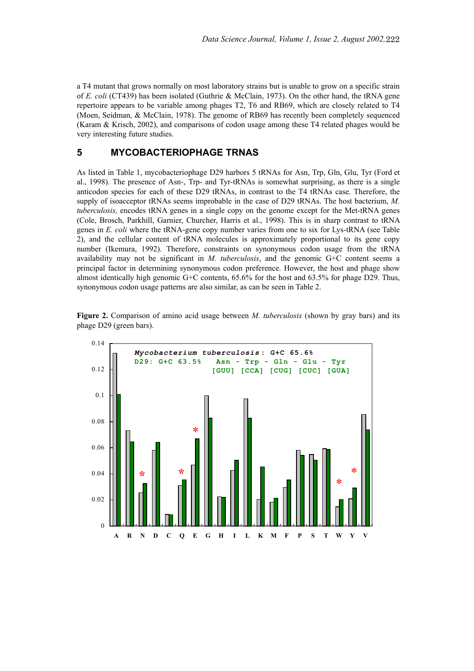a T4 mutant that grows normally on most laboratory strains but is unable to grow on a specific strain of *E. coli* (CT439) has been isolated (Guthrie & McClain, 1973). On the other hand, the tRNA gene repertoire appears to be variable among phages T2, T6 and RB69, which are closely related to T4 (Moen, Seidman, & McClain, 1978). The genome of RB69 has recently been completely sequenced (Karam & Krisch, 2002), and comparisons of codon usage among these T4 related phages would be very interesting future studies.

## **5 MYCOBACTERIOPHAGE TRNAS**

As listed in Table 1, mycobacteriophage D29 harbors 5 tRNAs for Asn, Trp, Gln, Glu, Tyr (Ford et al., 1998). The presence of Asn-, Trp- and Tyr-tRNAs is somewhat surprising, as there is a single anticodon species for each of these D29 tRNAs, in contrast to the T4 tRNAs case. Therefore, the supply of isoacceptor tRNAs seems improbable in the case of D29 tRNAs. The host bacterium, *M. tuberculosis,* encodes tRNA genes in a single copy on the genome except for the Met-tRNA genes (Cole, Brosch, Parkhill, Garnier, Churcher, Harris et al., 1998). This is in sharp contrast to tRNA genes in *E. coli* where the tRNA-gene copy number varies from one to six for Lys-tRNA (see Table 2), and the cellular content of tRNA molecules is approximately proportional to its gene copy number (Ikemura, 1992). Therefore, constraints on synonymous codon usage from the tRNA availability may not be significant in *M. tuberculosis*, and the genomic G+C content seems a principal factor in determining synonymous codon preference. However, the host and phage show almost identically high genomic G+C contents, 65.6% for the host and 63.5% for phage D29. Thus, synonymous codon usage patterns are also similar, as can be seen in Table 2.



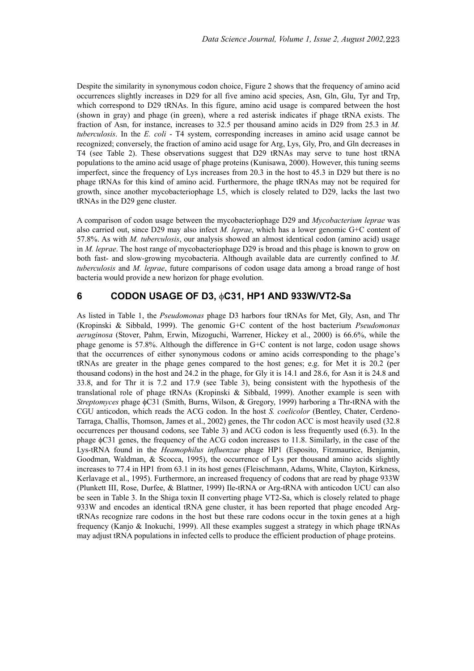Despite the similarity in synonymous codon choice, Figure 2 shows that the frequency of amino acid occurrences slightly increases in D29 for all five amino acid species, Asn, Gln, Glu, Tyr and Trp, which correspond to D29 tRNAs. In this figure, amino acid usage is compared between the host (shown in gray) and phage (in green), where a red asterisk indicates if phage tRNA exists. The fraction of Asn, for instance, increases to 32.5 per thousand amino acids in D29 from 25.3 in *M. tuberculosis*. In the *E. coli* - T4 system, corresponding increases in amino acid usage cannot be recognized; conversely, the fraction of amino acid usage for Arg, Lys, Gly, Pro, and Gln decreases in T4 (see Table 2). These observations suggest that D29 tRNAs may serve to tune host tRNA populations to the amino acid usage of phage proteins (Kunisawa, 2000). However, this tuning seems imperfect, since the frequency of Lys increases from 20.3 in the host to 45.3 in D29 but there is no phage tRNAs for this kind of amino acid. Furthermore, the phage tRNAs may not be required for growth, since another mycobacteriophage L5, which is closely related to D29, lacks the last two tRNAs in the D29 gene cluster.

A comparison of codon usage between the mycobacteriophage D29 and *Mycobacterium leprae* was also carried out, since D29 may also infect *M. leprae*, which has a lower genomic G+C content of 57.8%. As with *M. tuberculosis*, our analysis showed an almost identical codon (amino acid) usage in *M. leprae*. The host range of mycobacteriophage D29 is broad and this phage is known to grow on both fast- and slow-growing mycobacteria. Although available data are currently confined to *M. tuberculosis* and *M. leprae*, future comparisons of codon usage data among a broad range of host bacteria would provide a new horizon for phage evolution.

## **6 CODON USAGE OF D3,** φ**C31, HP1 AND 933W/VT2-Sa**

As listed in Table 1, the *Pseudomonas* phage D3 harbors four tRNAs for Met, Gly, Asn, and Thr (Kropinski & Sibbald, 1999). The genomic G+C content of the host bacterium *Pseudomonas aeruginosa* (Stover, Pahm, Erwin, Mizoguchi, Warrener, Hickey et al., 2000) is 66.6%, while the phage genome is 57.8%. Although the difference in G+C content is not large, codon usage shows that the occurrences of either synonymous codons or amino acids corresponding to the phage's tRNAs are greater in the phage genes compared to the host genes; e.g. for Met it is 20.2 (per thousand codons) in the host and 24.2 in the phage, for Gly it is 14.1 and 28.6, for Asn it is 24.8 and 33.8, and for Thr it is 7.2 and 17.9 (see Table 3), being consistent with the hypothesis of the translational role of phage tRNAs (Kropinski & Sibbald, 1999). Another example is seen with *Streptomyces* phage φC31 (Smith, Burns, Wilson, & Gregory, 1999) harboring a Thr-tRNA with the CGU anticodon, which reads the ACG codon. In the host *S. coelicolor* (Bentley, Chater, Cerdeno-Tarraga, Challis, Thomson, James et al., 2002) genes, the Thr codon ACC is most heavily used (32.8 occurrences per thousand codons, see Table 3) and ACG codon is less frequently used (6.3). In the phage φC31 genes, the frequency of the ACG codon increases to 11.8. Similarly, in the case of the Lys-tRNA found in the *Heamophilus influenzae* phage HP1 (Esposito, Fitzmaurice, Benjamin, Goodman, Waldman, & Scocca, 1995), the occurrence of Lys per thousand amino acids slightly increases to 77.4 in HP1 from 63.1 in its host genes (Fleischmann, Adams, White, Clayton, Kirkness, Kerlavage et al., 1995). Furthermore, an increased frequency of codons that are read by phage 933W (Plunkett III, Rose, Durfee, & Blattner, 1999) Ile-tRNA or Arg-tRNA with anticodon UCU can also be seen in Table 3. In the Shiga toxin II converting phage VT2-Sa, which is closely related to phage 933W and encodes an identical tRNA gene cluster, it has been reported that phage encoded ArgtRNAs recognize rare codons in the host but these rare codons occur in the toxin genes at a high frequency (Kanjo & Inokuchi, 1999). All these examples suggest a strategy in which phage tRNAs may adjust tRNA populations in infected cells to produce the efficient production of phage proteins.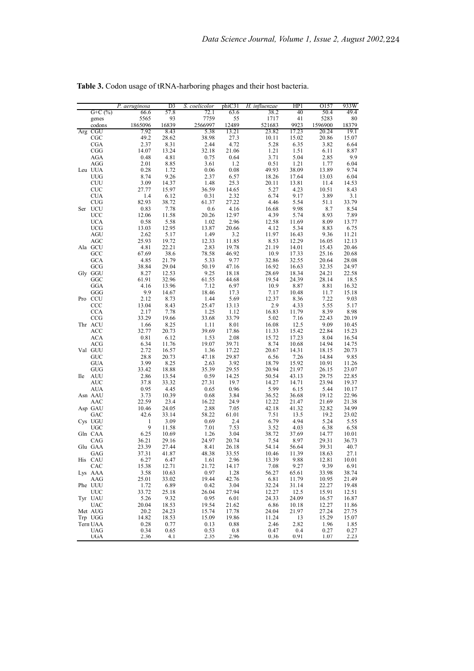|            |                            | P. aeruginosa   | D <sub>3</sub> | S. coelicolor   | phiC31         | H. influenzae   | HP1            | 0157             | 933W           |
|------------|----------------------------|-----------------|----------------|-----------------|----------------|-----------------|----------------|------------------|----------------|
|            | $G+C$ (%)                  | 66.6            | 57.8           | 72.1            | 63.6           | 38.2            | 40             | 50.4             | 49.4           |
|            | genes                      | 5565            | 93             | 7759            | 55             | 1717            | 41             | 5283             | 80             |
|            | codons<br>Arg CGU          | 1865096<br>7.92 | 16839<br>8.43  | 2566997<br>5.38 | 12489<br>13.21 | 521683<br>23.82 | 9923<br>17.23  | 1596900<br>20.24 | 18379<br>19.1  |
|            | CGC                        | 49.2            | 28.62          | 38.98           | 27.3           | 10.11           | 15.02          | 20.86            | 15.07          |
|            | <b>CGA</b>                 | 2.37            | 8.31           | 2.44            | 4.72           | 5.28            | 6.35           | 3.82             | 6.64           |
|            | CGG                        | 14.07           | 13.24          | 32.18           | 21.06          | 1.21            | 1.51           | 6.11             | 8.87           |
|            | AGA                        | 0.48            | 4.81           | 0.75            | 0.64           | 3.71            | 5.04           | 2.85             | 9.9            |
|            | AGG                        | 2.01            | 8.85           | 3.61            | 1.2            | 0.51            | 1.21           | 1.77             | 6.04           |
|            | Leu UUA<br><b>UUG</b>      | 0.28<br>8.74    | 1.72<br>9.26   | 0.06<br>2.37    | 0.08<br>6.57   | 49.93<br>18.26  | 38.09<br>17.64 | 13.89<br>13.03   | 9.74<br>6.04   |
|            | CUU                        | 3.09            | 14.37          | 1.48            | 25.3           | 20.11           | 13.81          | 11.4             | 14.53          |
|            | <b>CUC</b>                 | 27.77           | 15.97          | 36.59           | 14.65          | 5.27            | 4.23           | 10.51            | 8.43           |
|            | <b>CUA</b>                 | 1.4             | 6.12           | 0.31            | 2.32           | 6.74            | 9.17           | 3.89             | 3.1            |
|            | <b>CUG</b>                 | 82.93           | 38.72          | 61.37           | 27.22          | 4.46            | 5.54           | 51.1             | 33.79          |
| Ser        | <b>UCU</b>                 | 0.83            | 7.78           | 0.6             | 4.16           | 16.68           | 9.98           | 8.7              | 8.54           |
|            | UCC<br><b>UCA</b>          | 12.06<br>0.58   | 11.58<br>5.58  | 20.26<br>1.02   | 12.97<br>2.96  | 4.39<br>12.58   | 5.74<br>11.69  | 8.93<br>8.09     | 7.89<br>13.77  |
|            | <b>UCG</b>                 | 13.03           | 12.95          | 13.87           | 20.66          | 4.12            | 5.34           | 8.83             | 6.75           |
|            | <b>AGU</b>                 | 2.62            | 5.17           | 1.49            | 3.2            | 11.97           | 16.43          | 9.36             | 11.21          |
|            | AGC                        | 25.93           | 19.72          | 12.33           | 11.85          | 8.53            | 12.29          | 16.05            | 12.13          |
|            | Ala GCU                    | 4.81            | 22.21          | 2.83            | 19.78          | 21.19           | 14.01          | 15.43            | 20.46          |
|            | GCC                        | 67.69           | 38.6           | 78.58           | 46.92          | 10.9            | 17.33          | 25.16            | 20.68          |
|            | GCA                        | 4.85<br>38.84   | 21.79<br>29.04 | 5.33            | 9.77           | 32.86           | 32.55          | 20.64            | 28.08          |
|            | GCG<br>Gly GGU             | 8.27            | 12.53          | 50.19<br>9.25   | 47.16<br>18.18 | 16.92<br>28.69  | 16.63<br>18.34 | 32.35<br>24.21   | 24.97<br>22.58 |
|            | GGC                        | 61.91           | 32.96          | 61.55           | 44.68          | 19.54           | 24.39          | 28.14            | 18.5           |
|            | GGA                        | 4.16            | 13.96          | 7.12            | 6.97           | 10.9            | 8.87           | 8.81             | 16.32          |
|            | GGG                        | 9.9             | 14.67          | 18.46           | 17.3           | 7.17            | 10.48          | 11.7             | 15.18          |
|            | Pro CCU                    | 2.12            | 8.73           | 1.44            | 5.69           | 12.37           | 8.36           | 7.22             | 9.03           |
|            | $_{\rm CCC}$<br><b>CCA</b> | 13.04<br>2.17   | 8.43<br>7.78   | 25.47<br>1.25   | 13.13<br>1.12  | 2.9<br>16.83    | 4.33<br>11.79  | 5.55<br>8.39     | 5.17<br>8.98   |
|            | CCG                        | 33.29           | 19.66          | 33.68           | 33.79          | 5.02            | 7.16           | 22.43            | 20.19          |
|            | Thr ACU                    | 1.66            | 8.25           | 1.11            | $8.01\,$       | 16.08           | 12.5           | 9.09             | 10.45          |
|            | ACC                        | 32.77           | 20.73          | 39.69           | 17.86          | 11.33           | 15.42          | 22.84            | 15.23          |
|            | <b>ACA</b>                 | 0.81            | 6.12           | 1.53            | 2.08           | 15.72           | 17.23          | 8.04             | 16.54          |
|            | ACG                        | 6.34            | 11.76          | 19.07           | 39.71          | 8.74            | 10.68          | 14.94            | 14.75          |
|            | Val GUU<br>GUC             | 2.72<br>28.8    | 16.57<br>20.73 | 1.36<br>47.18   | 17.22<br>29.87 | 20.67<br>6.56   | 14.31<br>7.26  | 18.15<br>14.84   | 20.73<br>9.85  |
|            | <b>GUA</b>                 | 3.99            | 8.25           | 2.63            | 3.92           | 18.79           | 15.92          | 10.91            | 11.26          |
|            | GUG                        | 33.42           | 18.88          | 35.39           | 29.55          | 20.94           | 21.97          | 26.15            | 23.07          |
| <b>Ile</b> | <b>AUU</b>                 | 2.86            | 13.54          | 0.59            | 14.25          | 50.54           | 43.13          | 29.75            | 22.85          |
|            | <b>AUC</b>                 | 37.8            | 33.32          | 27.31           | 19.7           | 14.27           | 14.71          | 23.94            | 19.37          |
|            | <b>AUA</b>                 | 0.95            | 4.45           | 0.65            | 0.96           | 5.99            | 6.15           | 5.44             | 10.17          |
|            | Asn AAU<br><b>AAC</b>      | 3.73<br>22.59   | 10.39<br>23.4  | 0.68<br>16.22   | 3.84<br>24.9   | 36.52<br>12.22  | 36.68<br>21.47 | 19.12<br>21.69   | 22.96<br>21.38 |
|            | Asp GAU                    | 10.46           | 24.05          | 2.88            | 7.05           | 42.18           | 41.32          | 32.82            | 34.99          |
|            | GAC                        | 42.6            | 33.14          | 58.22           | 61.01          | 7.51            | 13.5           | 19.2             | 23.02          |
|            | Cys UGU                    | 1               | 3.09           | 0.69            | 2.4            | 6.79            | 4.94           | 5.24             | 5.55           |
|            | UGC                        | 9               | 11.58          | 7.01            | 7.53           | 3.52            | 4.03           | 6.38             | 6.58           |
|            | Gln CAA                    | 6.25            | 10.69          | 1.26            | 3.04           | 38.72           | 37.69          | 14.77            | 10.01          |
|            | CAG<br>Glu GAA             | 36.21<br>23.39  | 29.16<br>27.44 | 24.97<br>8.41   | 20.74<br>26.18 | 7.54<br>54.14   | 8.97<br>56.64  | 29.31<br>39.31   | 36.73<br>40.7  |
|            | GAG                        | 37.31           | 41.87          | 48.38           | 33.55          | 10.46           | 11.39          | 18.63            | 27.1           |
|            | His CAU                    | 6.27            | 6.47           | 1.61            | 2.96           | 13.39           | 9.88           | 12.81            | 10.01          |
|            | CAC                        | 15.38           | 12.71          | 21.72           | 14.17          | 7.08            | 9.27           | 9.39             | 6.91           |
|            | Lys AAA                    | 3.58            | 10.63          | 0.97            | 1.28           | 56.27           | 65.61          | 33.98            | 38.74          |
|            | AAG                        | 25.01           | 33.02          | 19.44           | 42.76          | 6.81            | 11.79          | 10.95            | 21.49          |
|            | Phe UUU<br><b>UUC</b>      | 1.72            | 6.89<br>25.18  | 0.42<br>26.04   | 3.04<br>27.94  | 32.24           | 31.14<br>12.5  | 22.27            | 19.48<br>12.51 |
|            | Tyr UAU                    | 33.72<br>5.26   | 9.32           | 0.95            | 6.01           | 12.27<br>24.33  | 24.09          | 15.91<br>16.57   | 16.87          |
|            | <b>UAC</b>                 | 20.04           | 18.53          | 19.54           | 21.62          | 6.86            | 10.18          | 12.27            | 11.86          |
|            | Met AUG                    | 20.2            | 24.23          | 15.74           | 17.78          | 24.04           | 21.97          | 27.24            | 27.75          |
|            | Trp UGG                    | 14.82           | 18.53          | 15.09           | 19.86          | 11.24           | 13             | 15.29            | 15.07          |
|            | Tern UAA                   | 0.28            | 0.77           | 0.13            | 0.88           | 2.46            | 2.82           | 1.96             | 1.85           |
|            | <b>UAG</b><br>UGA          | 0.34<br>2.36    | 0.65<br>4.1    | 0.53<br>2.35    | 0.8<br>2.96    | 0.47<br>0.36    | 0.4<br>0.91    | 0.27<br>1.07     | 0.27<br>2.23   |
|            |                            |                 |                |                 |                |                 |                |                  |                |

**Table 3.** Codon usage of tRNA-harboring phages and their host bacteria.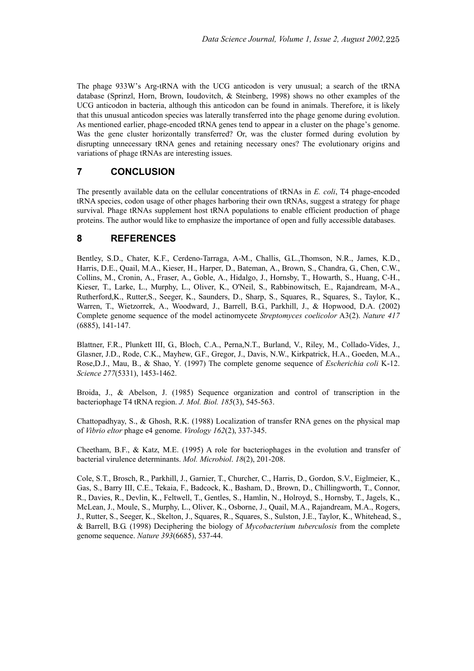The phage 933W's Arg-tRNA with the UCG anticodon is very unusual; a search of the tRNA database (Sprinzl, Horn, Brown, Ioudovitch, & Steinberg, 1998) shows no other examples of the UCG anticodon in bacteria, although this anticodon can be found in animals. Therefore, it is likely that this unusual anticodon species was laterally transferred into the phage genome during evolution. As mentioned earlier, phage-encoded tRNA genes tend to appear in a cluster on the phage's genome. Was the gene cluster horizontally transferred? Or, was the cluster formed during evolution by disrupting unnecessary tRNA genes and retaining necessary ones? The evolutionary origins and variations of phage tRNAs are interesting issues.

# **7 CONCLUSION**

The presently available data on the cellular concentrations of tRNAs in *E. coli*, T4 phage-encoded tRNA species, codon usage of other phages harboring their own tRNAs, suggest a strategy for phage survival. Phage tRNAs supplement host tRNA populations to enable efficient production of phage proteins. The author would like to emphasize the importance of open and fully accessible databases.

# **8 REFERENCES**

Bentley, S.D., Chater, K.F., Cerdeno-Tarraga, A-M., Challis, G.L.,Thomson, N.R., James, K.D., Harris, D.E., Quail, M.A., Kieser, H., Harper, D., Bateman, A., Brown, S., Chandra, G., Chen, C.W., Collins, M., Cronin, A., Fraser, A., Goble, A., Hidalgo, J., Hornsby, T., Howarth, S., Huang, C-H., Kieser, T., Larke, L., Murphy, L., Oliver, K., O'Neil, S., Rabbinowitsch, E., Rajandream, M-A., Rutherford,K., Rutter,S., Seeger, K., Saunders, D., Sharp, S., Squares, R., Squares, S., Taylor, K., Warren, T., Wietzorrek, A., Woodward, J., Barrell, B.G., Parkhill, J., & Hopwood, D.A. (2002) Complete genome sequence of the model actinomycete *Streptomyces coelicolor* A3(2). *Nature 417* (6885), 141-147.

Blattner, F.R., Plunkett III, G., Bloch, C.A., Perna,N.T., Burland, V., Riley, M., Collado-Vides, J., Glasner, J.D., Rode, C.K., Mayhew, G.F., Gregor, J., Davis, N.W., Kirkpatrick, H.A., Goeden, M.A., Rose,D.J., Mau, B., & Shao, Y*.* (1997) The complete genome sequence of *Escherichia coli* K-12. *Science 277*(5331), 1453-1462.

Broida, J., & Abelson, J. (1985) Sequence organization and control of transcription in the bacteriophage T4 tRNA region. *J. Mol. Biol. 185*(3), 545-563.

Chattopadhyay, S., & Ghosh, R.K. (1988) Localization of transfer RNA genes on the physical map of *Vibrio eltor* phage e4 genome. *Virology 162*(2), 337-345.

Cheetham, B.F., & Katz, M.E. (1995) A role for bacteriophages in the evolution and transfer of bacterial virulence determinants. *Mol. Microbiol*. *18*(2), 201-208.

Cole, S.T., Brosch, R., Parkhill, J., Garnier, T., Churcher, C., Harris, D., Gordon, S.V., Eiglmeier, K., Gas, S., Barry III, C.E., Tekaia, F., Badcock, K., Basham, D., Brown, D., Chillingworth, T., Connor, R., Davies, R., Devlin, K., Feltwell, T., Gentles, S., Hamlin, N., Holroyd, S., Hornsby, T., Jagels, K., McLean, J., Moule, S., Murphy, L., Oliver, K., Osborne, J., Quail, M.A., Rajandream, M.A., Rogers, J., Rutter, S., Seeger, K., Skelton, J., Squares, R., Squares, S., Sulston, J.E., Taylor, K., Whitehead, S., & Barrell, B.G. (1998) Deciphering the biology of *Mycobacterium tuberculosis* from the complete genome sequence. *Nature 393*(6685), 537-44.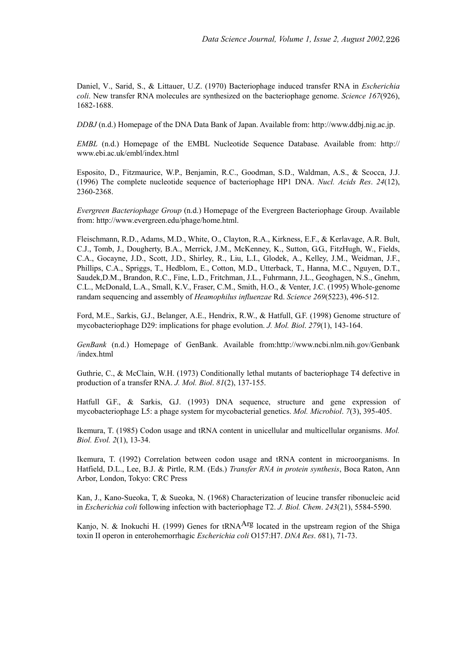Daniel, V., Sarid, S., & Littauer, U.Z. (1970) Bacteriophage induced transfer RNA in *Escherichia coli*. New transfer RNA molecules are synthesized on the bacteriophage genome. *Science 167*(926), 1682-1688.

*DDBJ* (n.d.) Homepage of the DNA Data Bank of Japan. Available from: http://www.ddbj.nig.ac.jp.

*EMBL* (n.d.) Homepage of the EMBL Nucleotide Sequence Database. Available from: http:// www.ebi.ac.uk/embl/index.html

Esposito, D., Fitzmaurice, W.P., Benjamin, R.C., Goodman, S.D., Waldman, A.S., & Scocca, J.J. (1996) The complete nucleotide sequence of bacteriophage HP1 DNA. *Nucl. Acids Res*. *24*(12), 2360-2368.

*Evergreen Bacteriophage Group* (n.d.) Homepage of the Evergreen Bacteriophage Group. Available from: http://www.evergreen.edu/phage/home.html.

Fleischmann, R.D., Adams, M.D., White, O., Clayton, R.A., Kirkness, E.F., & Kerlavage, A.R. Bult, C.J., Tomb, J., Dougherty, B.A., Merrick, J.M., McKenney, K., Sutton, G.G., FitzHugh, W., Fields, C.A., Gocayne, J.D., Scott, J.D., Shirley, R., Liu, L.I., Glodek, A., Kelley, J.M., Weidman, J.F., Phillips, C.A., Spriggs, T., Hedblom, E., Cotton, M.D., Utterback, T., Hanna, M.C., Nguyen, D.T., Saudek,D.M., Brandon, R.C., Fine, L.D., Fritchman, J.L., Fuhrmann, J.L., Geoghagen, N.S., Gnehm, C.L., McDonald, L.A., Small, K.V., Fraser, C.M., Smith, H.O., & Venter, J.C. (1995) Whole-genome randam sequencing and assembly of *Heamophilus influenzae* Rd. *Science 269*(5223), 496-512.

Ford, M.E., Sarkis, G.J., Belanger, A.E., Hendrix, R.W., & Hatfull, G.F. (1998) Genome structure of mycobacteriophage D29: implications for phage evolution. *J. Mol. Biol*. *279*(1), 143-164.

*GenBank* (n.d.) Homepage of GenBank. Available from:http://www.ncbi.nlm.nih.gov/Genbank /index.html

Guthrie, C., & McClain, W.H. (1973) Conditionally lethal mutants of bacteriophage T4 defective in production of a transfer RNA. *J. Mol. Biol*. *81*(2), 137-155.

Hatfull G.F., & Sarkis, G.J. (1993) DNA sequence, structure and gene expression of mycobacteriophage L5: a phage system for mycobacterial genetics. *Mol. Microbiol*. *7*(3), 395-405.

Ikemura, T. (1985) Codon usage and tRNA content in unicellular and multicellular organisms. *Mol. Biol. Evol. 2*(1), 13-34.

Ikemura, T. (1992) Correlation between codon usage and tRNA content in microorganisms. In Hatfield, D.L., Lee, B.J. & Pirtle, R.M. (Eds.) *Transfer RNA in protein synthesis*, Boca Raton, Ann Arbor, London, Tokyo: CRC Press

Kan, J., Kano-Sueoka, T, & Sueoka, N. (1968) Characterization of leucine transfer ribonucleic acid in *Escherichia coli* following infection with bacteriophage T2. *J. Biol. Chem*. *243*(21), 5584-5590.

Kanjo, N. & Inokuchi H. (1999) Genes for tRNA<sup>Arg</sup> located in the upstream region of the Shiga toxin II operon in enterohemorrhagic *Escherichia coli* O157:H7. *DNA Res*. *6*81), 71-73.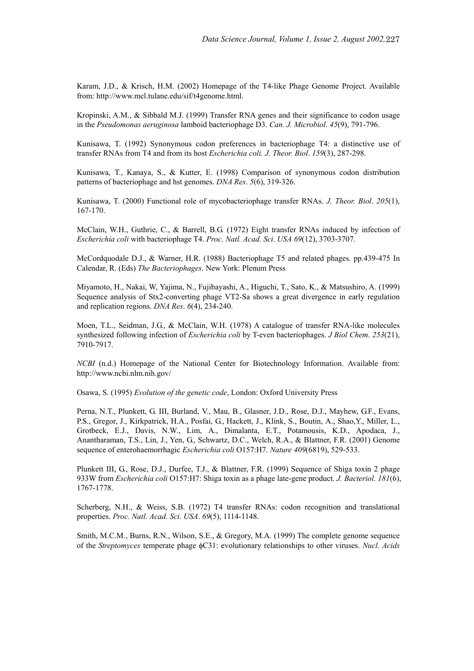Karam, J.D., & Krisch, H.M. (2002) Homepage of the T4-like Phage Genome Project. Available from: http://www.mcl.tulane.edu/sif/t4genome.html.

Kropinski, A.M., & Sibbald M.J. (1999) Transfer RNA genes and their significance to codon usage in the *Pseudomonas aeruginosa* lamboid bacteriophage D3. *Can. J. Microbiol*. *45*(9), 791-796.

Kunisawa, T. (1992) Synonymous codon preferences in bacteriophage T4: a distinctive use of transfer RNAs from T4 and from its host *Escherichia coli. J. Theor. Biol*. *159*(3), 287-298.

Kunisawa, T., Kanaya, S., & Kutter, E. (1998) Comparison of synonymous codon distribution patterns of bacteriophage and hst genomes. *DNA Res*. *5*(6), 319-326.

Kunisawa, T. (2000) Functional role of mycobacteriophage transfer RNAs. *J. Theor. Biol*. *205*(1), 167-170.

McClain, W.H., Guthrie, C., & Barrell, B.G. (1972) Eight transfer RNAs induced by infection of *Escherichia coli* with bacteriophage T4. *Proc. Natl. Acad. Sci. USA 69*(12), 3703-3707.

McCordquodale D.J., & Warner, H.R. (1988) Bacteriophage T5 and related phages. pp.439-475 In Calendar, R. (Eds) *The Bacteriophages*. New York: Plenum Press

Miyamoto, H., Nakai, W, Yajima, N., Fujibayashi, A., Higuchi, T., Sato, K., & Matsushiro, A. (1999) Sequence analysis of Stx2-converting phage VT2-Sa shows a great divergence in early regulation and replication regions. *DNA Res*. *6*(4), 234-240.

Moen, T.L., Seidman, J.G., & McClain, W.H. (1978) A catalogue of transfer RNA-like molecules synthesized following infection of *Escherichia coli* by T-even bacteriophages. *J Biol Chem*. *253*(21), 7910-7917.

*NCBI* (n.d.) Homepage of the National Center for Biotechnology Information. Available from: http://www.ncbi.nlm.nih.gov/

Osawa, S. (1995) *Evolution of the genetic code*, London: Oxford University Press

Perna, N.T., Plunkett, G. III, Burland, V., Mau, B., Glasner, J.D., Rose, D.J., Mayhew, G.F., Evans, P.S., Gregor, J., Kirkpatrick, H.A., Posfai, G., Hackett, J., Klink, S., Boutin, A., Shao,Y., Miller, L., Grotbeck, E.J., Davis, N.W., Lim, A., Dimalanta, E.T., Potamousis, K.D., Apodaca, J., Anantharaman, T.S., Lin, J., Yen, G., Schwartz, D.C., Welch, R.A., & Blattner, F.R. (2001) Genome sequence of enterohaemorrhagic *Escherichia coli* O157:H7. *Nature 409*(6819), 529-533.

Plunkett III, G., Rose, D.J., Durfee, T.J., & Blattner, F.R. (1999) Sequence of Shiga toxin 2 phage 933W from *Escherichia coli* O157:H7: Shiga toxin as a phage late-gene product. *J. Bacteriol*. *181*(6), 1767-1778.

Scherberg, N.H., & Weiss, S.B. (1972) T4 transfer RNAs: codon recognition and translational properties. *Proc. Natl. Acad. Sci. USA*. *69*(5), 1114-1148.

Smith, M.C.M., Burns, R.N., Wilson, S.E., & Gregory, M.A. (1999) The complete genome sequence of the *Streptomyces* temperate phage φC31: evolutionary relationships to other viruses. *Nucl. Acids*